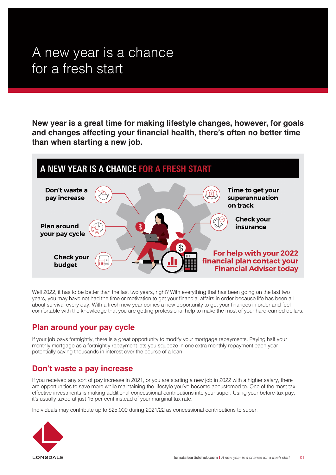# A new year is a chance for a fresh start

**New year is a great time for making lifestyle changes, however, for goals and changes affecting your financial health, there's often no better time than when starting a new job.**



Well 2022, it has to be better than the last two years, right? With everything that has been going on the last two years, you may have not had the time or motivation to get your financial affairs in order because life has been all about survival every day. With a fresh new year comes a new opportunity to get your finances in order and feel comfortable with the knowledge that you are getting professional help to make the most of your hard-earned dollars.

#### **Plan around your pay cycle**

If your job pays fortnightly, there is a great opportunity to modify your mortgage repayments. Paying half your monthly mortgage as a fortnightly repayment lets you squeeze in one extra monthly repayment each year – potentially saving thousands in interest over the course of a loan.

## **Don't waste a pay increase**

If you received any sort of pay increase in 2021, or you are starting a new job in 2022 with a higher salary, there are opportunities to save more while maintaining the lifestyle you've become accustomed to. One of the most taxeffective investments is making additional concessional contributions into your super. Using your before-tax pay, it's usually taxed at just 15 per cent instead of your marginal tax rate.

Individuals may contribute up to \$25,000 during 2021/22 as concessional contributions to super.